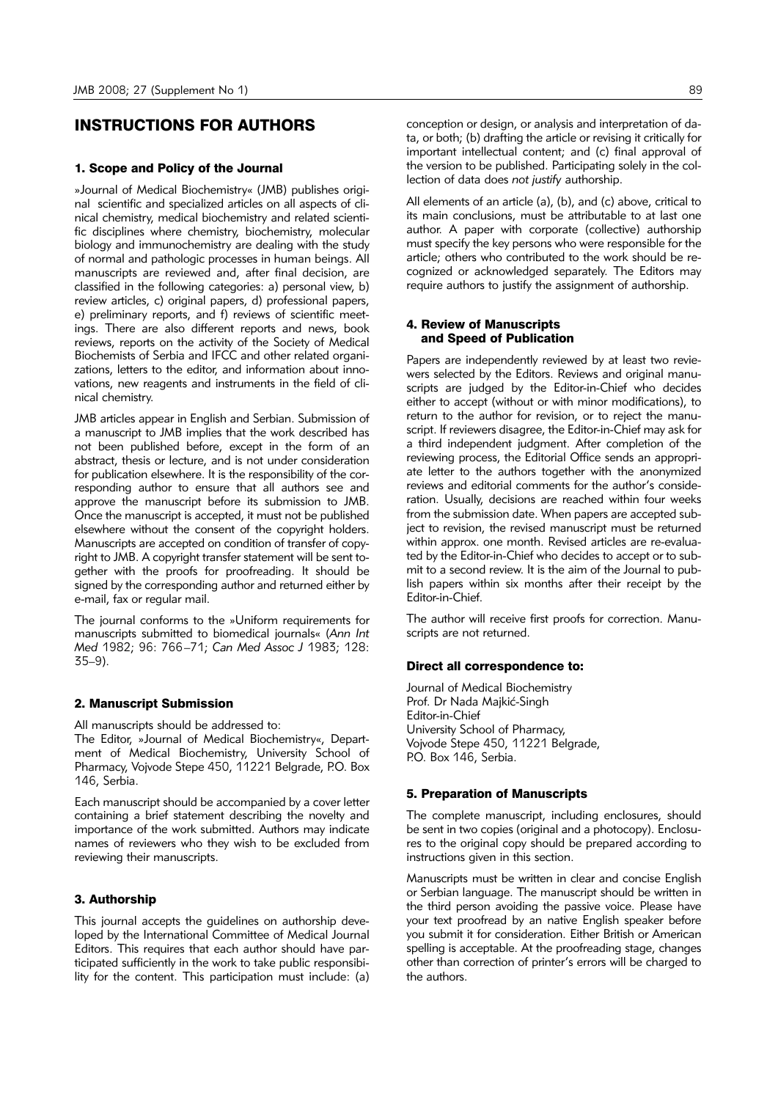# INSTRUCTIONS FOR AUTHORS

# 1. Scope and Policy of the Journal

»Journal of Medical Biochemistry« (JMB) publishes original scientific and specialized articles on all aspects of clinical chemistry, medical biochemistry and related scientific disciplines where chemistry, biochemistry, molecular biology and immunochemistry are dealing with the study of normal and pathologic processes in human beings. All manuscripts are reviewed and, after final decision, are classified in the following categories: a) personal view, b) review articles, c) original papers, d) professional papers, e) preliminary reports, and f) reviews of scientific meetings. There are also different reports and news, book reviews, reports on the activity of the Society of Medical Biochemists of Serbia and IFCC and other related organizations, letters to the editor, and information about innovations, new reagents and instruments in the field of clinical chemistry.

JMB articles appear in English and Serbian. Submission of a manuscript to JMB implies that the work described has not been published before, except in the form of an abstract, thesis or lecture, and is not under consideration for publication elsewhere. It is the responsibility of the corresponding author to ensure that all authors see and approve the manuscript before its submission to JMB. Once the manuscript is accepted, it must not be published elsewhere without the consent of the copyright holders. Manuscripts are accepted on condition of transfer of copyright to JMB. A copyright transfer statement will be sent together with the proofs for proofreading. It should be signed by the corresponding author and returned either by e-mail, fax or regular mail.

The journal conforms to the »Uniform requirements for manuscripts submitted to biomedical journals« (*Ann Int Med* 1982; 96: 766–71; *Can Med Assoc J* 1983; 128: 35–9).

### 2. Manuscript Submission

All manuscripts should be addressed to:

The Editor, »Journal of Medical Biochemistry«, Department of Medical Biochemistry, University School of Pharmacy, Vojvode Stepe 450, 11221 Belgrade, P.O. Box 146, Serbia.

Each manuscript should be accompanied by a cover letter containing a brief statement describing the novelty and importance of the work submitted. Authors may indicate names of reviewers who they wish to be excluded from reviewing their manuscripts.

#### 3. Authorship

This journal accepts the guidelines on authorship developed by the International Committee of Medical Journal Editors. This requires that each author should have participated sufficiently in the work to take public responsibility for the content. This participation must include: (a) conception or design, or analysis and interpretation of data, or both; (b) drafting the article or revising it critically for important intellectual content; and (c) final approval of the version to be published. Participating solely in the collection of data does *not justify* authorship.

All elements of an article (a), (b), and (c) above, critical to its main conclusions, must be attributable to at last one author. A paper with corporate (collective) authorship must specify the key persons who were responsible for the article; others who contributed to the work should be recognized or acknowledged separately. The Editors may require authors to justify the assignment of authorship.

# 4. Review of Manuscripts and Speed of Publication

Papers are independently reviewed by at least two reviewers selected by the Editors. Reviews and original manuscripts are judged by the Editor-in-Chief who decides either to accept (without or with minor modifications), to return to the author for revision, or to reject the manuscript. If reviewers disagree, the Editor-in-Chief may ask for a third independent judgment. After completion of the reviewing process, the Editorial Office sends an appropriate letter to the authors together with the anonymized reviews and editorial comments for the author's consideration. Usually, decisions are reached within four weeks from the submission date. When papers are accepted subject to revision, the revised manuscript must be returned within approx. one month. Revised articles are re-evaluated by the Editor-in-Chief who decides to accept or to submit to a second review. It is the aim of the Journal to publish papers within six months after their receipt by the Editor-in-Chief.

The author will receive first proofs for correction. Manuscripts are not returned.

#### Direct all correspondence to:

Journal of Medical Biochemistry Prof. Dr Nada Majkić-Singh Editor-in-Chief University School of Pharmacy, Vojvode Stepe 450, 11221 Belgrade, P.O. Box 146, Serbia.

# 5. Preparation of Manuscripts

The complete manuscript, including enclosures, should be sent in two copies (original and a photocopy). Enclosures to the original copy should be prepared according to instructions given in this section.

Manuscripts must be written in clear and concise English or Serbian language. The manuscript should be written in the third person avoiding the passive voice. Please have your text proofread by an native English speaker before you submit it for consideration. Either British or American spelling is acceptable. At the proofreading stage, changes other than correction of printer's errors will be charged to the authors.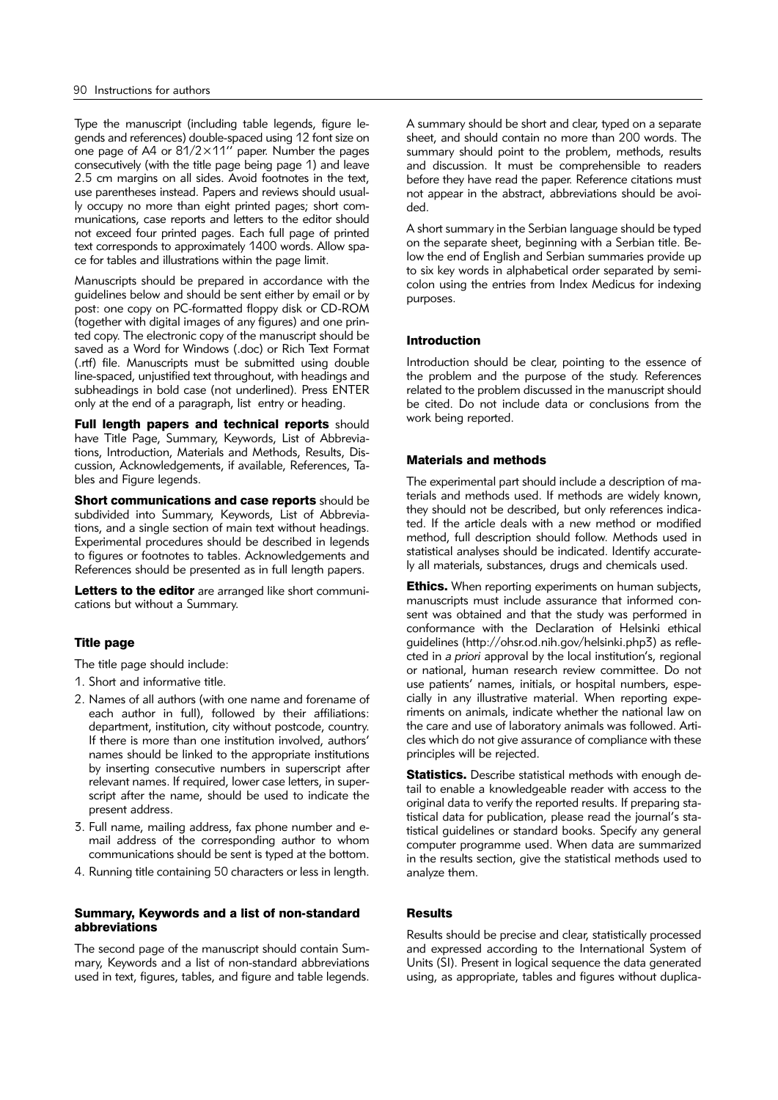Type the manuscript (including table legends, figure legends and references) double-spaced using 12 font size on one page of A4 or 81/2×11'' paper. Number the pages consecutively (with the title page being page 1) and leave 2.5 cm margins on all sides. Avoid footnotes in the text, use parentheses instead. Papers and reviews should usually occupy no more than eight printed pages; short communications, case reports and letters to the editor should not exceed four printed pages. Each full page of printed text corresponds to approximately 1400 words. Allow space for tables and illustrations within the page limit.

Manuscripts should be prepared in accordance with the guidelines below and should be sent either by email or by post: one copy on PC-formatted floppy disk or CD-ROM (together with digital images of any figures) and one printed copy. The electronic copy of the manuscript should be saved as a Word for Windows (.doc) or Rich Text Format (.rtf) file. Manuscripts must be submitted using double line-spaced, unjustified text throughout, with headings and subheadings in bold case (not underlined). Press ENTER only at the end of a paragraph, list entry or heading.

Full length papers and technical reports should have Title Page, Summary, Keywords, List of Abbreviations, Introduction, Materials and Methods, Results, Discussion, Acknowledgements, if available, References, Tables and Figure legends.

Short communications and case reports should be subdivided into Summary, Keywords, List of Abbreviations, and a single section of main text without headings. Experimental procedures should be described in legends to figures or footnotes to tables. Acknowledgements and References should be presented as in full length papers.

Letters to the editor are arranged like short communications but without a Summary.

# Title page

The title page should include:

- 1. Short and informative title.
- 2. Names of all authors (with one name and forename of each author in full), followed by their affiliations: department, institution, city without postcode, country. If there is more than one institution involved, authors' names should be linked to the appropriate institutions by inserting consecutive numbers in superscript after relevant names. If required, lower case letters, in superscript after the name, should be used to indicate the present address.
- 3. Full name, mailing address, fax phone number and email address of the corresponding author to whom communications should be sent is typed at the bottom.
- 4. Running title containing 50 characters or less in length.

# Summary, Keywords and a list of non-standard abbreviations

The second page of the manuscript should contain Summary, Keywords and a list of non-standard abbreviations used in text, figures, tables, and figure and table legends.

A summary should be short and clear, typed on a separate sheet, and should contain no more than 200 words. The summary should point to the problem, methods, results and discussion. It must be comprehensible to readers before they have read the paper. Reference citations must not appear in the abstract, abbreviations should be avoided.

A short summary in the Serbian language should be typed on the separate sheet, beginning with a Serbian title. Below the end of English and Serbian summaries provide up to six key words in alphabetical order separated by semicolon using the entries from Index Medicus for indexing purposes.

# Introduction

Introduction should be clear, pointing to the essence of the problem and the purpose of the study. References related to the problem discussed in the manuscript should be cited. Do not include data or conclusions from the work being reported.

# Materials and methods

The experimental part should include a description of materials and methods used. If methods are widely known, they should not be described, but only references indicated. If the article deals with a new method or modified method, full description should follow. Methods used in statistical analyses should be indicated. Identify accurately all materials, substances, drugs and chemicals used.

**Ethics.** When reporting experiments on human subjects, manuscripts must include assurance that informed consent was obtained and that the study was performed in conformance with the Declaration of Helsinki ethical guidelines (http://ohsr.od.nih.gov/helsinki.php3) as reflected in *a priori* approval by the local institution's, regional or national, human research review committee. Do not use patients' names, initials, or hospital numbers, especially in any illustrative material. When reporting experiments on animals, indicate whether the national law on the care and use of laboratory animals was followed. Articles which do not give assurance of compliance with these principles will be rejected.

**Statistics.** Describe statistical methods with enough detail to enable a knowledgeable reader with access to the original data to verify the reported results. If preparing statistical data for publication, please read the journal's statistical guidelines or standard books. Specify any general computer programme used. When data are summarized in the results section, give the statistical methods used to analyze them.

# Results

Results should be precise and clear, statistically processed and expressed according to the International System of Units (SI). Present in logical sequence the data generated using, as appropriate, tables and figures without duplica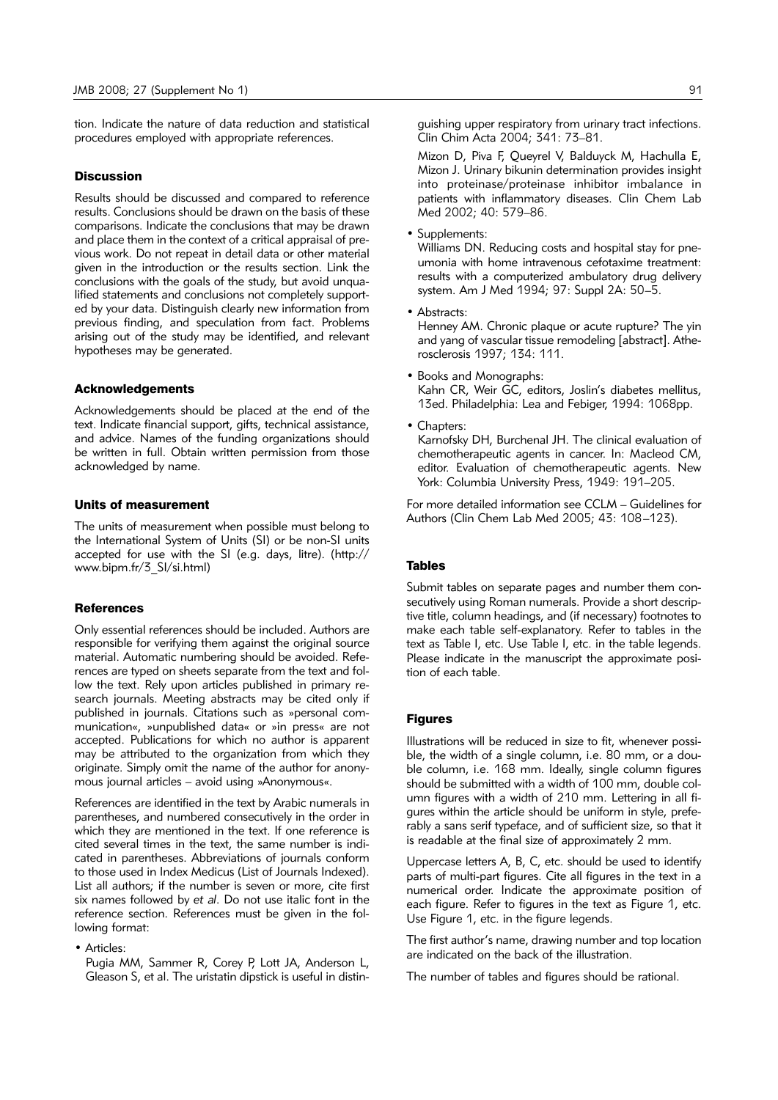tion. Indicate the nature of data reduction and statistical procedures employed with appropriate references.

### **Discussion**

Results should be discussed and compared to reference results. Conclusions should be drawn on the basis of these comparisons. Indicate the conclusions that may be drawn and place them in the context of a critical appraisal of previous work. Do not repeat in detail data or other material given in the introduction or the results section. Link the conclusions with the goals of the study, but avoid unqualified statements and conclusions not completely supported by your data. Distinguish clearly new information from previous finding, and speculation from fact. Problems arising out of the study may be identified, and relevant hypotheses may be generated.

#### Acknowledgements

Acknowledgements should be placed at the end of the text. Indicate financial support, gifts, technical assistance, and advice. Names of the funding organizations should be written in full. Obtain written permission from those acknowledged by name.

# Units of measurement

The units of measurement when possible must belong to the International System of Units (SI) or be non-SI units accepted for use with the SI (e.g. days, litre). (http:// www.bipm.fr/3\_SI/si.html)

# **References**

Only essential references should be included. Authors are responsible for verifying them against the original source material. Automatic numbering should be avoided. References are typed on sheets separate from the text and follow the text. Rely upon articles published in primary research journals. Meeting abstracts may be cited only if published in journals. Citations such as »personal communication«, »unpublished data« or »in press« are not accepted. Publications for which no author is apparent may be attributed to the organization from which they originate. Simply omit the name of the author for anonymous journal articles – avoid using »Anonymous«.

References are identified in the text by Arabic numerals in parentheses, and numbered consecutively in the order in which they are mentioned in the text. If one reference is cited several times in the text, the same number is indicated in parentheses. Abbreviations of journals conform to those used in Index Medicus (List of Journals Indexed). List all authors; if the number is seven or more, cite first six names followed by *et al*. Do not use italic font in the reference section. References must be given in the following format:

• Articles:

Pugia MM, Sammer R, Corey P, Lott JA, Anderson L, Gleason S, et al. The uristatin dipstick is useful in distinguishing upper respiratory from urinary tract infections. Clin Chim Acta 2004; 341: 73–81.

Mizon D, Piva F, Queyrel V, Balduyck M, Hachulla E, Mizon J. Urinary bikunin determination provides insight into proteinase/proteinase inhibitor imbalance in patients with inflammatory diseases. Clin Chem Lab Med 2002; 40: 579–86.

• Supplements:

Williams DN. Reducing costs and hospital stay for pneumonia with home intravenous cefotaxime treatment: results with a computerized ambulatory drug delivery system. Am J Med 1994; 97: Suppl 2A: 50–5.

• Abstracts:

Henney AM. Chronic plaque or acute rupture? The yin and vang of vascular tissue remodeling [abstract]. Atherosclerosis 1997; 134: 111.

- Books and Monographs: Kahn CR, Weir GC, editors, Joslin's diabetes mellitus, 13ed. Philadelphia: Lea and Febiger, 1994: 1068pp.
- Chapters:

Karnofsky DH, Burchenal JH. The clinical evaluation of chemotherapeutic agents in cancer. In: Macleod CM, editor. Evaluation of chemotherapeutic agents. New York: Columbia University Press, 1949: 191–205.

For more detailed information see CCLM – Guidelines for Authors (Clin Chem Lab Med 2005; 43: 108–123).

# Tables

Submit tables on separate pages and number them consecutively using Roman numerals. Provide a short descriptive title, column headings, and (if necessary) footnotes to make each table self-explanatory. Refer to tables in the text as Table I, etc. Use Table I, etc. in the table legends. Please indicate in the manuscript the approximate position of each table.

### Figures

Illustrations will be reduced in size to fit, whenever possible, the width of a single column, i.e. 80 mm, or a double column, i.e. 168 mm. Ideally, single column figures should be submitted with a width of 100 mm, double column figures with a width of 210 mm. Lettering in all figures within the article should be uniform in style, preferably a sans serif typeface, and of sufficient size, so that it is readable at the final size of approximately 2 mm.

Uppercase letters A, B, C, etc. should be used to identify parts of multi-part figures. Cite all figures in the text in a numerical order. Indicate the approximate position of each figure. Refer to figures in the text as Figure 1, etc. Use Figure 1, etc. in the figure legends.

The first author's name, drawing number and top location are indicated on the back of the illustration.

The number of tables and figures should be rational.